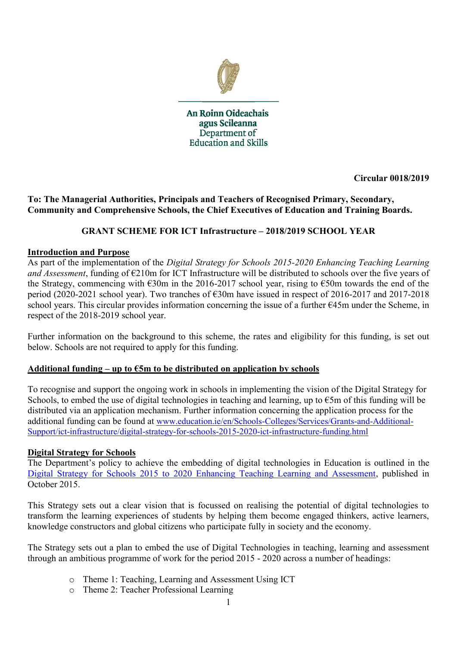

An Roinn Oideachais agus Scileanna Department of **Education and Skills** 

**Circular 0018/2019**

### **To: The Managerial Authorities, Principals and Teachers of Recognised Primary, Secondary, Community and Comprehensive Schools, the Chief Executives of Education and Training Boards.**

### **GRANT SCHEME FOR ICT Infrastructure – 2018/2019 SCHOOL YEAR**

#### **Introduction and Purpose**

As part of the implementation of the *Digital Strategy for Schools 2015-2020 Enhancing Teaching Learning and Assessment*, funding of €210m for ICT Infrastructure will be distributed to schools over the five years of the Strategy, commencing with  $\epsilon$ 30m in the 2016-2017 school year, rising to  $\epsilon$ 50m towards the end of the period (2020-2021 school year). Two tranches of €30m have issued in respect of 2016-2017 and 2017-2018 school years. This circular provides information concerning the issue of a further €45m under the Scheme, in respect of the 2018-2019 school year.

Further information on the background to this scheme, the rates and eligibility for this funding, is set out below. Schools are not required to apply for this funding.

#### Additional funding  $-\text{up to }\text{\textsterling}5\text{m}$  to be distributed on application by schools

To recognise and support the ongoing work in schools in implementing the vision of the Digital Strategy for Schools, to embed the use of digital technologies in teaching and learning, up to  $\epsilon$ 5m of this funding will be distributed via an application mechanism. Further information concerning the application process for the additional funding can be found at [www.education.ie/en/Schools-Colleges/Services/Grants-and-Additional-](http://www.education.ie/en/Schools-Colleges/Services/Grants-and-Additional-Support/ict-infrastructure/digital-strategy-for-schools-2015-2020-ict-infrastructure-funding.html)[Support/ict-infrastructure/digital-strategy-for-schools-2015-2020-ict-infrastructure-funding.html](http://www.education.ie/en/Schools-Colleges/Services/Grants-and-Additional-Support/ict-infrastructure/digital-strategy-for-schools-2015-2020-ict-infrastructure-funding.html)

#### **Digital Strategy for Schools**

The Department's policy to achieve the embedding of digital technologies in Education is outlined in the [Digital Strategy for Schools 2015 to 2020 Enhancing Teaching Learning and Assessment,](https://www.education.ie/en/Publications/Policy-Reports/Digital-Strategy-for-Schools-2015-2020.pdf) published in October 2015.

This Strategy sets out a clear vision that is focussed on realising the potential of digital technologies to transform the learning experiences of students by helping them become engaged thinkers, active learners, knowledge constructors and global citizens who participate fully in society and the economy.

The Strategy sets out a plan to embed the use of Digital Technologies in teaching, learning and assessment through an ambitious programme of work for the period 2015 - 2020 across a number of headings:

- o Theme 1: Teaching, Learning and Assessment Using ICT
- o Theme 2: Teacher Professional Learning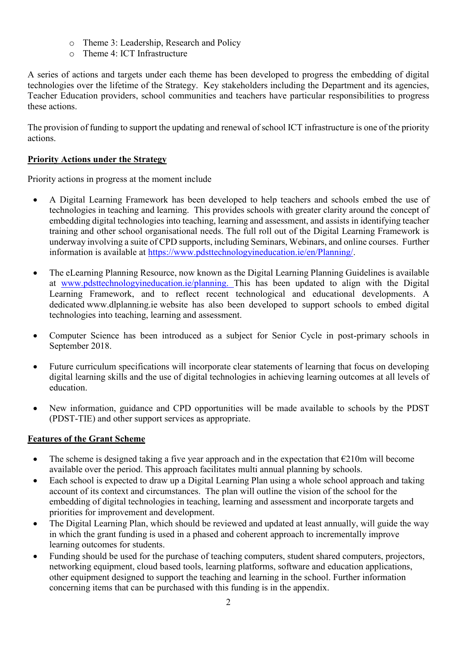- o Theme 3: Leadership, Research and Policy
- o Theme 4: ICT Infrastructure

A series of actions and targets under each theme has been developed to progress the embedding of digital technologies over the lifetime of the Strategy. Key stakeholders including the Department and its agencies, Teacher Education providers, school communities and teachers have particular responsibilities to progress these actions.

The provision of funding to support the updating and renewal of school ICT infrastructure is one of the priority actions.

## **Priority Actions under the Strategy**

Priority actions in progress at the moment include

- A Digital Learning Framework has been developed to help teachers and schools embed the use of technologies in teaching and learning. This provides schools with greater clarity around the concept of embedding digital technologies into teaching, learning and assessment, and assists in identifying teacher training and other school organisational needs. The full roll out of the Digital Learning Framework is underway involving a suite of CPD supports, including Seminars, Webinars, and online courses. Further information is available at [https://www.pdsttechnologyineducation.ie/en/Planning/.](https://www.pdsttechnologyineducation.ie/en/Planning/)
- The eLearning Planning Resource, now known as the Digital Learning Planning Guidelines is available at [www.pdsttechnologyineducation.ie/planning.](http://www.pdsttechnologyineducation.ie/planning) This has been updated to align with the Digital Learning Framework, and to reflect recent technological and educational developments. A dedicated www.dlplanning.ie website has also been developed to support schools to embed digital technologies into teaching, learning and assessment.
- Computer Science has been introduced as a subject for Senior Cycle in post-primary schools in September 2018.
- Future curriculum specifications will incorporate clear statements of learning that focus on developing digital learning skills and the use of digital technologies in achieving learning outcomes at all levels of education.
- New information, guidance and CPD opportunities will be made available to schools by the PDST (PDST-TIE) and other support services as appropriate.

## **Features of the Grant Scheme**

- The scheme is designed taking a five year approach and in the expectation that  $\epsilon$ 210m will become available over the period. This approach facilitates multi annual planning by schools.
- Each school is expected to draw up a Digital Learning Plan using a whole school approach and taking account of its context and circumstances. The plan will outline the vision of the school for the embedding of digital technologies in teaching, learning and assessment and incorporate targets and priorities for improvement and development.
- The Digital Learning Plan, which should be reviewed and updated at least annually, will guide the way in which the grant funding is used in a phased and coherent approach to incrementally improve learning outcomes for students.
- Funding should be used for the purchase of teaching computers, student shared computers, projectors, networking equipment, cloud based tools, learning platforms, software and education applications, other equipment designed to support the teaching and learning in the school. Further information concerning items that can be purchased with this funding is in the appendix.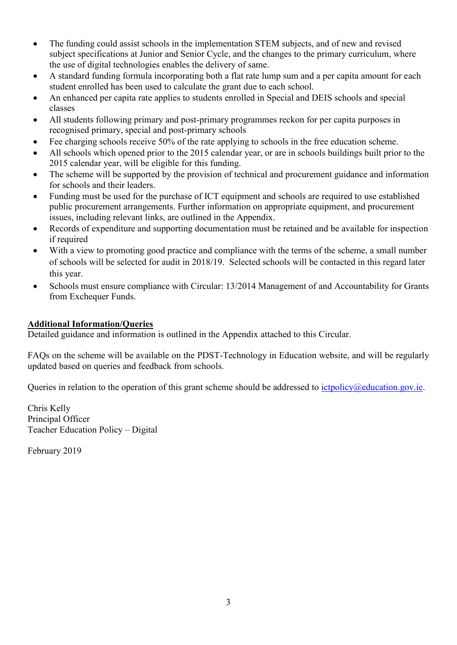- The funding could assist schools in the implementation STEM subjects, and of new and revised subject specifications at Junior and Senior Cycle, and the changes to the primary curriculum, where the use of digital technologies enables the delivery of same.
- A standard funding formula incorporating both a flat rate lump sum and a per capita amount for each student enrolled has been used to calculate the grant due to each school.
- An enhanced per capita rate applies to students enrolled in Special and DEIS schools and special classes
- All students following primary and post-primary programmes reckon for per capita purposes in recognised primary, special and post-primary schools
- Fee charging schools receive 50% of the rate applying to schools in the free education scheme.
- All schools which opened prior to the 2015 calendar year, or are in schools buildings built prior to the 2015 calendar year, will be eligible for this funding.
- The scheme will be supported by the provision of technical and procurement guidance and information for schools and their leaders.
- Funding must be used for the purchase of ICT equipment and schools are required to use established public procurement arrangements. Further information on appropriate equipment, and procurement issues, including relevant links, are outlined in the Appendix.
- Records of expenditure and supporting documentation must be retained and be available for inspection if required
- With a view to promoting good practice and compliance with the terms of the scheme, a small number of schools will be selected for audit in 2018/19. Selected schools will be contacted in this regard later this year.
- Schools must ensure compliance with Circular: 13/2014 Management of and Accountability for Grants from Exchequer Funds.

#### **Additional Information/Queries**

Detailed guidance and information is outlined in the Appendix attached to this Circular.

FAQs on the scheme will be available on the PDST-Technology in Education website, and will be regularly updated based on queries and feedback from schools.

Queries in relation to the operation of this grant scheme should be addressed to *ictpolicy@education.gov.ie.* 

Chris Kelly Principal Officer Teacher Education Policy – Digital

February 2019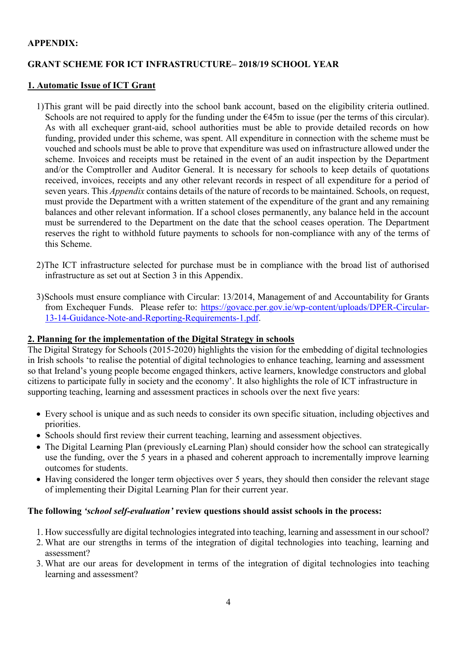#### **APPENDIX:**

## **GRANT SCHEME FOR ICT INFRASTRUCTURE– 2018/19 SCHOOL YEAR**

#### **1. Automatic Issue of ICT Grant**

- 1)This grant will be paid directly into the school bank account, based on the eligibility criteria outlined. Schools are not required to apply for the funding under the  $E45m$  to issue (per the terms of this circular). As with all exchequer grant-aid, school authorities must be able to provide detailed records on how funding, provided under this scheme, was spent. All expenditure in connection with the scheme must be vouched and schools must be able to prove that expenditure was used on infrastructure allowed under the scheme. Invoices and receipts must be retained in the event of an audit inspection by the Department and/or the Comptroller and Auditor General. It is necessary for schools to keep details of quotations received, invoices, receipts and any other relevant records in respect of all expenditure for a period of seven years. This *Appendix* contains details of the nature of records to be maintained. Schools, on request, must provide the Department with a written statement of the expenditure of the grant and any remaining balances and other relevant information. If a school closes permanently, any balance held in the account must be surrendered to the Department on the date that the school ceases operation. The Department reserves the right to withhold future payments to schools for non-compliance with any of the terms of this Scheme.
- 2)The ICT infrastructure selected for purchase must be in compliance with the broad list of authorised infrastructure as set out at Section 3 in this Appendix.
- 3)Schools must ensure compliance with Circular: 13/2014, Management of and Accountability for Grants from Exchequer Funds. Please refer to: [https://govacc.per.gov.ie/wp-content/uploads/DPER-Circular-](https://govacc.per.gov.ie/wp-content/uploads/DPER-Circular-13-14-Guidance-Note-and-Reporting-Requirements-1.pdf)[13-14-Guidance-Note-and-Reporting-Requirements-1.pdf.](https://govacc.per.gov.ie/wp-content/uploads/DPER-Circular-13-14-Guidance-Note-and-Reporting-Requirements-1.pdf)

# **2. Planning for the implementation of the Digital Strategy in schools**

The Digital Strategy for Schools (2015-2020) highlights the vision for the embedding of digital technologies in Irish schools 'to realise the potential of digital technologies to enhance teaching, learning and assessment so that Ireland's young people become engaged thinkers, active learners, knowledge constructors and global citizens to participate fully in society and the economy'. It also highlights the role of ICT infrastructure in supporting teaching, learning and assessment practices in schools over the next five years:

- Every school is unique and as such needs to consider its own specific situation, including objectives and priorities.
- Schools should first review their current teaching, learning and assessment objectives.
- The Digital Learning Plan (previously eLearning Plan) should consider how the school can strategically use the funding, over the 5 years in a phased and coherent approach to incrementally improve learning outcomes for students.
- Having considered the longer term objectives over 5 years, they should then consider the relevant stage of implementing their Digital Learning Plan for their current year.

#### **The following** *'school self-evaluation'* **review questions should assist schools in the process:**

- 1. How successfully are digital technologies integrated into teaching, learning and assessment in our school?
- 2. What are our strengths in terms of the integration of digital technologies into teaching, learning and assessment?
- 3. What are our areas for development in terms of the integration of digital technologies into teaching learning and assessment?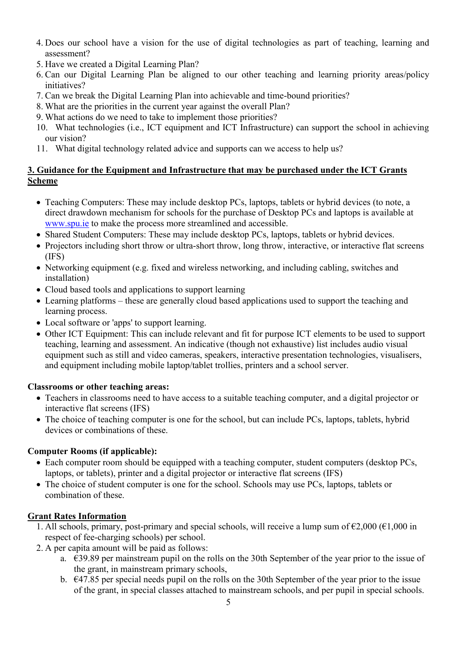- 4. Does our school have a vision for the use of digital technologies as part of teaching, learning and assessment?
- 5. Have we created a Digital Learning Plan?
- 6. Can our Digital Learning Plan be aligned to our other teaching and learning priority areas/policy initiatives?
- 7. Can we break the Digital Learning Plan into achievable and time-bound priorities?
- 8. What are the priorities in the current year against the overall Plan?
- 9. What actions do we need to take to implement those priorities?
- 10. What technologies (i.e., ICT equipment and ICT Infrastructure) can support the school in achieving our vision?
- 11. What digital technology related advice and supports can we access to help us?

## **3. Guidance for the Equipment and Infrastructure that may be purchased under the ICT Grants Scheme**

- Teaching Computers: These may include desktop PCs, laptops, tablets or hybrid devices (to note, a direct drawdown mechanism for schools for the purchase of Desktop PCs and laptops is available at www.spu.ie to make the process more streamlined and accessible.
- Shared Student Computers: These may include desktop PCs, laptops, tablets or hybrid devices.
- Projectors including short throw or ultra-short throw, long throw, interactive, or interactive flat screens (IFS)
- Networking equipment (e.g. fixed and wireless networking, and including cabling, switches and installation)
- Cloud based tools and applications to support learning
- Learning platforms these are generally cloud based applications used to support the teaching and learning process.
- Local software or 'apps' to support learning.
- Other ICT Equipment: This can include relevant and fit for purpose ICT elements to be used to support teaching, learning and assessment. An indicative (though not exhaustive) list includes audio visual equipment such as still and video cameras, speakers, interactive presentation technologies, visualisers, and equipment including mobile laptop/tablet trollies, printers and a school server.

## **Classrooms or other teaching areas:**

- Teachers in classrooms need to have access to a suitable teaching computer, and a digital projector or interactive flat screens (IFS)
- The choice of teaching computer is one for the school, but can include PCs, laptops, tablets, hybrid devices or combinations of these.

## **Computer Rooms (if applicable):**

- Each computer room should be equipped with a teaching computer, student computers (desktop PCs, laptops, or tablets), printer and a digital projector or interactive flat screens (IFS)
- The choice of student computer is one for the school. Schools may use PCs, laptops, tablets or combination of these.

## **Grant Rates Information**

- 1. All schools, primary, post-primary and special schools, will receive a lump sum of  $\epsilon$ 2,000 ( $\epsilon$ 1,000 in respect of fee-charging schools) per school.
- 2. A per capita amount will be paid as follows:
	- a. €39.89 per mainstream pupil on the rolls on the 30th September of the year prior to the issue of the grant, in mainstream primary schools,
	- b. €47.85 per special needs pupil on the rolls on the 30th September of the year prior to the issue of the grant, in special classes attached to mainstream schools, and per pupil in special schools.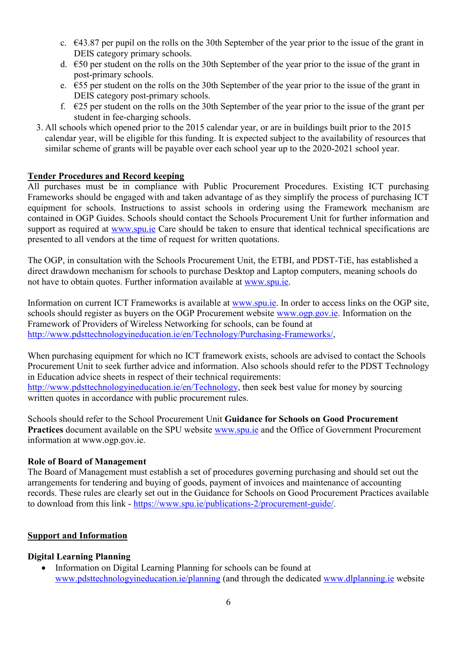- c.  $\epsilon$ 43.87 per pupil on the rolls on the 30th September of the year prior to the issue of the grant in DEIS category primary schools.
- d. €50 per student on the rolls on the 30th September of the year prior to the issue of the grant in post-primary schools.
- e. €55 per student on the rolls on the 30th September of the year prior to the issue of the grant in DEIS category post-primary schools.
- f.  $\epsilon$ 25 per student on the rolls on the 30th September of the year prior to the issue of the grant per student in fee-charging schools.
- 3. All schools which opened prior to the 2015 calendar year, or are in buildings built prior to the 2015 calendar year, will be eligible for this funding. It is expected subject to the availability of resources that similar scheme of grants will be payable over each school year up to the 2020-2021 school year.

#### **Tender Procedures and Record keeping**

All purchases must be in compliance with Public Procurement Procedures. Existing ICT purchasing Frameworks should be engaged with and taken advantage of as they simplify the process of purchasing ICT equipment for schools. Instructions to assist schools in ordering using the Framework mechanism are contained in OGP Guides. Schools should contact the Schools Procurement Unit for further information and support as required at [www.spu.ie](http://www.spu.ie/) Care should be taken to ensure that identical technical specifications are presented to all vendors at the time of request for written quotations.

The OGP, in consultation with the Schools Procurement Unit, the ETBI, and PDST-TiE, has established a direct drawdown mechanism for schools to purchase Desktop and Laptop computers, meaning schools do not have to obtain quotes. Further information available at [www.spu.ie.](http://www.spu.ie/)

Information on current ICT Frameworks is available at [www.spu.ie.](http://www.spu.ie/) In order to access links on the OGP site, schools should register as buyers on the OGP Procurement website [www.ogp.gov.ie.](http://www.ogp.gov.ie/) Information on the Framework of Providers of Wireless Networking for schools, can be found at [http://www.pdsttechnologyineducation.ie/en/Technology/Purchasing-Frameworks/,](http://www.pdsttechnologyineducation.ie/en/Technology/Purchasing-Frameworks/)

When purchasing equipment for which no ICT framework exists, schools are advised to contact the Schools Procurement Unit to seek further advice and information. Also schools should refer to the PDST Technology in Education advice sheets in respect of their technical requirements: [http://www.pdsttechnologyineducation.ie/en/Technology,](http://www.pdsttechnologyineducation.ie/en/Technology) then seek best value for money by sourcing written quotes in accordance with public procurement rules.

Schools should refer to the School Procurement Unit **Guidance for Schools on Good Procurement Practices** document available on the SPU website [www.spu.ie](http://www.spu.ie/) and the Office of Government Procurement information at www.ogp.gov.ie.

#### **Role of Board of Management**

The Board of Management must establish a set of procedures governing purchasing and should set out the arrangements for tendering and buying of goods, payment of invoices and maintenance of accounting records. These rules are clearly set out in the Guidance for Schools on Good Procurement Practices available to download from this link - [https://www.spu.ie/publications-2/procurement-guide/.](https://www.spu.ie/publications-2/procurement-guide/)

#### **Support and Information**

#### **Digital Learning Planning**

• Information on Digital Learning Planning for schools can be found at [www.pdsttechnologyineducation.ie/planning](http://www.pdsttechnologyineducation.ie/planning) (and through the dedicated [www.dlplanning.ie](http://www.dlplanning.ie/) website